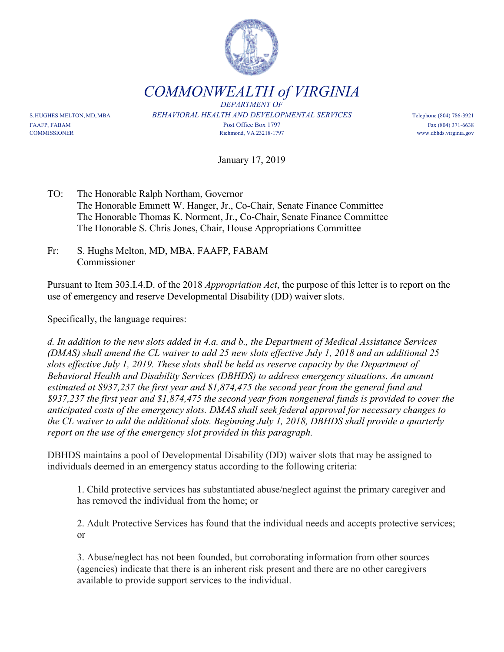

*COMMONWEALTH of VIRGINIA DEPARTMENT OF*

S.HUGHES MELTON,MD,MBA *BEHAVIORAL HEALTH AND DEVELOPMENTAL SERVICES* Telephone (804) 786-3921 FAAFP, FABAM Fax (804) 371-6638 COMMISSIONER Richmond, VA 23218-1797 www.dbhds.virginia.gov

January 17, 2019

- TO: The Honorable Ralph Northam, Governor The Honorable Emmett W. Hanger, Jr., Co-Chair, Senate Finance Committee The Honorable Thomas K. Norment, Jr., Co-Chair, Senate Finance Committee The Honorable S. Chris Jones, Chair, House Appropriations Committee
- Fr: S. Hughs Melton, MD, MBA, FAAFP, FABAM Commissioner

Pursuant to Item 303.I.4.D. of the 2018 *Appropriation Act*, the purpose of this letter is to report on the use of emergency and reserve Developmental Disability (DD) waiver slots.

Specifically, the language requires:

*d. In addition to the new slots added in 4.a. and b., the Department of Medical Assistance Services (DMAS) shall amend the CL waiver to add 25 new slots effective July 1, 2018 and an additional 25 slots effective July 1, 2019. These slots shall be held as reserve capacity by the Department of Behavioral Health and Disability Services (DBHDS) to address emergency situations. An amount estimated at \$937,237 the first year and \$1,874,475 the second year from the general fund and \$937,237 the first year and \$1,874,475 the second year from nongeneral funds is provided to cover the anticipated costs of the emergency slots. DMAS shall seek federal approval for necessary changes to the CL waiver to add the additional slots. Beginning July 1, 2018, DBHDS shall provide a quarterly report on the use of the emergency slot provided in this paragraph.* 

DBHDS maintains a pool of Developmental Disability (DD) waiver slots that may be assigned to individuals deemed in an emergency status according to the following criteria:

1. Child protective services has substantiated abuse/neglect against the primary caregiver and has removed the individual from the home; or

2. Adult Protective Services has found that the individual needs and accepts protective services; or

3. Abuse/neglect has not been founded, but corroborating information from other sources (agencies) indicate that there is an inherent risk present and there are no other caregivers available to provide support services to the individual.